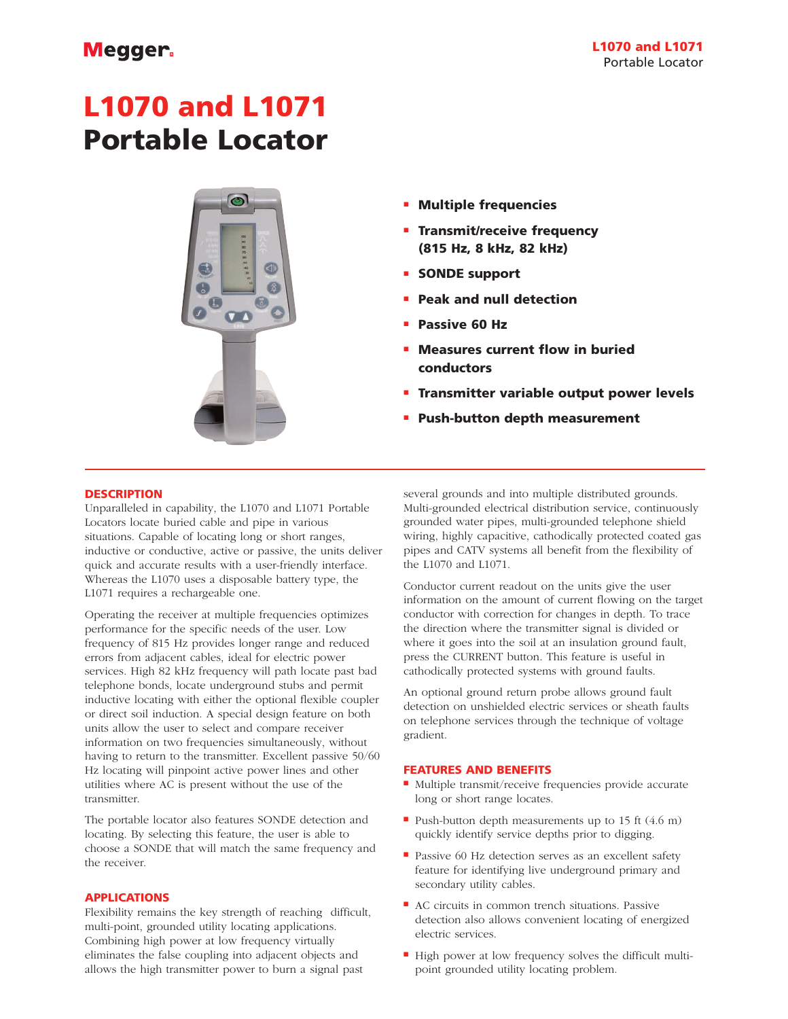# Megger.

# **L1070 and L1071 Portable Locator**



- **Multiple frequencies**
- **Transmit/receive frequency (815 Hz, 8 kHz, 82 kHz)**
- **SONDE support**
- **Peak and null detection**
- **Passive 60 Hz**
- **Measures current flow in buried conductors**
- **Transmitter variable output power levels**
- **Push-button depth measurement**

#### **DESCRIPTION**

Unparalleled in capability, the L1070 and L1071 Portable Locators locate buried cable and pipe in various situations. Capable of locating long or short ranges, inductive or conductive, active or passive, the units deliver quick and accurate results with a user-friendly interface. Whereas the L1070 uses a disposable battery type, the L1071 requires a rechargeable one.

Operating the receiver at multiple frequencies optimizes performance for the specific needs of the user. Low frequency of 815 Hz provides longer range and reduced errors from adjacent cables, ideal for electric power services. High 82 kHz frequency will path locate past bad telephone bonds, locate underground stubs and permit inductive locating with either the optional flexible coupler or direct soil induction. A special design feature on both units allow the user to select and compare receiver information on two frequencies simultaneously, without having to return to the transmitter. Excellent passive 50/60 Hz locating will pinpoint active power lines and other utilities where AC is present without the use of the transmitter.

The portable locator also features SONDE detection and locating. By selecting this feature, the user is able to choose a SONDE that will match the same frequency and the receiver.

## **APPLICATIONS**

Flexibility remains the key strength of reaching difficult, multi-point, grounded utility locating applications. Combining high power at low frequency virtually eliminates the false coupling into adjacent objects and allows the high transmitter power to burn a signal past

several grounds and into multiple distributed grounds. Multi-grounded electrical distribution service, continuously grounded water pipes, multi-grounded telephone shield wiring, highly capacitive, cathodically protected coated gas pipes and CATV systems all benefit from the flexibility of the L1070 and L1071.

Conductor current readout on the units give the user information on the amount of current flowing on the target conductor with correction for changes in depth. To trace the direction where the transmitter signal is divided or where it goes into the soil at an insulation ground fault, press the CURRENT button. This feature is useful in cathodically protected systems with ground faults.

An optional ground return probe allows ground fault detection on unshielded electric services or sheath faults on telephone services through the technique of voltage gradient.

#### **FEATURES AND BENEFITS**

- Multiple transmit/receive frequencies provide accurate long or short range locates.
- Push-button depth measurements up to 15 ft (4.6 m) quickly identify service depths prior to digging.
- Passive 60 Hz detection serves as an excellent safety feature for identifying live underground primary and secondary utility cables.
- AC circuits in common trench situations. Passive detection also allows convenient locating of energized electric services.
- High power at low frequency solves the difficult multipoint grounded utility locating problem.